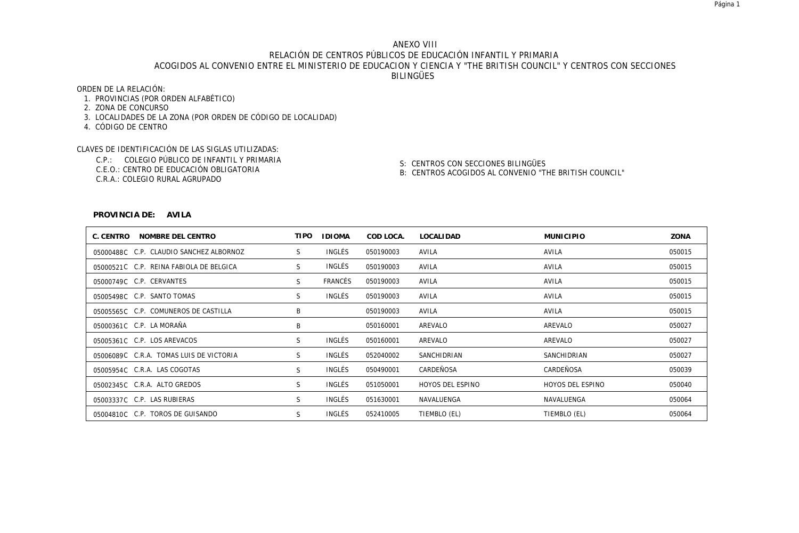# ANEXO VIII RELACIÓN DE CENTROS PÚBLICOS DE EDUCACIÓN INFANTIL Y PRIMARIA ACOGIDOS AL CONVENIO ENTRE EL MINISTERIO DE EDUCACION Y CIENCIA Y "THE BRITISH COUNCIL" Y CENTROS CON SECCIONES BILINGÜES

ORDEN DE LA RELACIÓN:

- 1. PROVINCIAS (POR ORDEN ALFABÉTICO)
- 2. ZONA DE CONCURSO
- 3. LOCALIDADES DE LA ZONA (POR ORDEN DE CÓDIGO DE LOCALIDAD)
- 4. CÓDIGO DE CENTRO

CLAVES DE IDENTIFICACIÓN DE LAS SIGLAS UTILIZADAS:

- C.P.: COLEGIO PÚBLICO DE INFANTIL Y PRIMARIA
- C.E.O.: CENTRO DE EDUCACIÓN OBLIGATORIA
- C.R.A.: COLEGIO RURAL AGRUPADO

S: CENTROS CON SECCIONES BILINGÜES

B: CENTROS ACOGIDOS AL CONVENIO "THE BRITISH COUNCIL"

#### **PROVINCIA DE: AVILA**

| C. CENTRO<br>NOMBRE DEL CENTRO          | <b>TIPO</b> | <b>IDIOMA</b>  | COD LOCA. | LOCALI DAD       | <b>MUNICIPIO</b> | ZONA   |
|-----------------------------------------|-------------|----------------|-----------|------------------|------------------|--------|
| 05000488C C.P. CLAUDIO SANCHEZ ALBORNOZ | S           | INGLÉS         | 050190003 | AVILA            | AVILA            | 050015 |
| 05000521C C.P. REINA FABIOLA DE BELGICA | S           | INGLÉS         | 050190003 | AVILA            | AVILA            | 050015 |
| 05000749C C.P. CERVANTES                | S           | <b>FRANCÉS</b> | 050190003 | AVILA            | AVILA            | 050015 |
| 05005498C C.P. SANTO TOMAS              | S           | INGLÉS         | 050190003 | AVILA            | AVILA            | 050015 |
| 05005565C C.P. COMUNEROS DE CASTILLA    | B           |                | 050190003 | AVILA            | AVILA            | 050015 |
| 05000361C C.P. LA MORAÑA                | B           |                | 050160001 | AREVALO          | AREVALO          | 050027 |
| 05005361C C.P. LOS AREVACOS             | S           | INGLÉS         | 050160001 | AREVALO          | AREVALO          | 050027 |
| 05006089C C.R.A. TOMAS LUIS DE VICTORIA | S           | INGLÉS         | 052040002 | SANCHIDRIAN      | SANCHIDRIAN      | 050027 |
| 05005954C C.R.A. LAS COGOTAS            | S           | INGLÉS         | 050490001 | CARDEÑOSA        | CARDEÑOSA        | 050039 |
| 05002345C C.R.A. ALTO GREDOS            | S           | INGLÉS         | 051050001 | HOYOS DEL ESPINO | HOYOS DEL ESPINO | 050040 |
| 05003337C C.P. LAS RUBIERAS             | S           | INGLÉS         | 051630001 | NAVALUENGA       | NAVALUENGA       | 050064 |
| 05004810C C.P. TOROS DE GUISANDO        | S           | INGLÉS         | 052410005 | TIEMBLO (EL)     | TIEMBLO (EL)     | 050064 |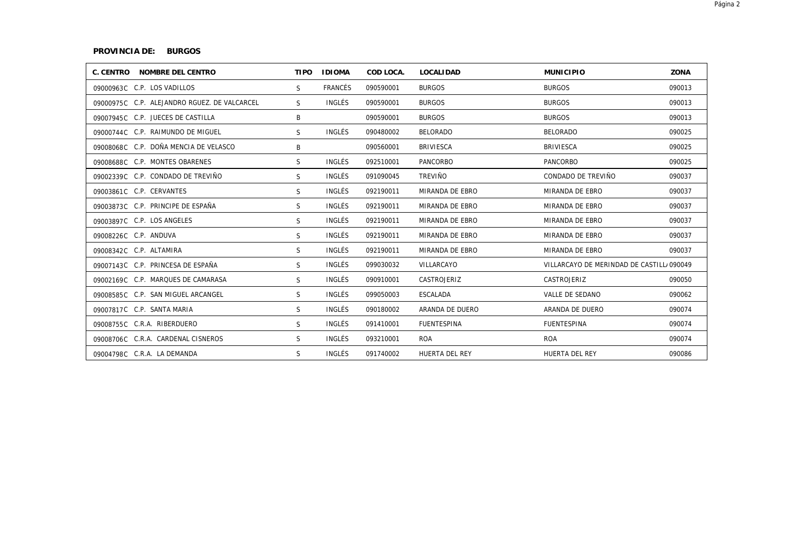# **PROVINCIA DE: BURGOS**

| C. CENTRO NOMBRE DEL CENTRO                  | <b>TIPO</b>  | <b>IDIOMA</b> | COD LOCA. | <b>LOCALIDAD</b>   | <b>MUNICIPIO</b>                          | ZONA   |
|----------------------------------------------|--------------|---------------|-----------|--------------------|-------------------------------------------|--------|
| 09000963C C.P. LOS VADILLOS                  | S.           | FRANCÉS       | 090590001 | <b>BURGOS</b>      | <b>BURGOS</b>                             | 090013 |
| 09000975C C.P. ALEJANDRO RGUEZ. DE VALCARCEL | S.           | INGLÉS        | 090590001 | <b>BURGOS</b>      | <b>BURGOS</b>                             | 090013 |
| 09007945C C.P. JUECES DE CASTILLA            | B            |               | 090590001 | <b>BURGOS</b>      | <b>BURGOS</b>                             | 090013 |
| 09000744C C.P. RAIMUNDO DE MIGUEL            | S.           | INGLÉS        | 090480002 | <b>BELORADO</b>    | <b>BELORADO</b>                           | 090025 |
| 09008068C C.P. DOÑA MENCIA DE VELASCO        | B            |               | 090560001 | <b>BRIVIESCA</b>   | <b>BRIVIESCA</b>                          | 090025 |
| 09008688C C.P. MONTES OBARENES               | S            | INGLÉS        | 092510001 | <b>PANCORBO</b>    | PANCORBO                                  | 090025 |
| 09002339C C.P. CONDADO DE TREVIÑO            | S.           | INGLÉS        | 091090045 | <b>TREVIÑO</b>     | CONDADO DE TREVIÑO                        | 090037 |
| 09003861C C.P. CERVANTES                     | S.           | INGLÉS        | 092190011 | MIRANDA DE EBRO    | MIRANDA DE EBRO                           | 090037 |
| 09003873C C.P. PRINCIPE DE ESPAÑA            | <sub>S</sub> | INGLÉS        | 092190011 | MIRANDA DE EBRO    | MIRANDA DE EBRO                           | 090037 |
| 09003897C C.P. LOS ANGELES                   | S            | INGLÉS        | 092190011 | MIRANDA DE EBRO    | MIRANDA DE EBRO                           | 090037 |
| 09008226C C.P. ANDUVA                        | S.           | INGLÉS        | 092190011 | MIRANDA DE EBRO    | MIRANDA DE EBRO                           | 090037 |
| 09008342C C.P. ALTAMIRA                      | S            | INGLÉS        | 092190011 | MIRANDA DE EBRO    | MIRANDA DE EBRO                           | 090037 |
| 09007143C C.P. PRINCESA DE ESPAÑA            | S            | INGLÉS        | 099030032 | VILLARCAYO         | VILLARCAYO DE MERINDAD DE CASTILL, 090049 |        |
| 09002169C C.P. MARQUES DE CAMARASA           | S            | INGLÉS        | 090910001 | CASTROJERIZ        | CASTROJERIZ                               | 090050 |
| 09008585C C.P. SAN MIGUEL ARCANGEL           | S            | INGLÉS        | 099050003 | ESCALADA           | VALLE DE SEDANO                           | 090062 |
| 09007817C C.P. SANTA MARIA                   | S            | INGLÉS        | 090180002 | ARANDA DE DUERO    | ARANDA DE DUERO                           | 090074 |
| 09008755C C.R.A. RIBERDUERO                  | S            | INGLÉS        | 091410001 | <b>FUENTESPINA</b> | <b>FUENTESPINA</b>                        | 090074 |
| 09008706C C.R.A. CARDENAL CISNEROS           | S            | INGLÉS        | 093210001 | <b>ROA</b>         | <b>ROA</b>                                | 090074 |
| 09004798C C.R.A. LA DEMANDA                  | S            | INGLÉS        | 091740002 | HUERTA DEL REY     | HUERTA DEL REY                            | 090086 |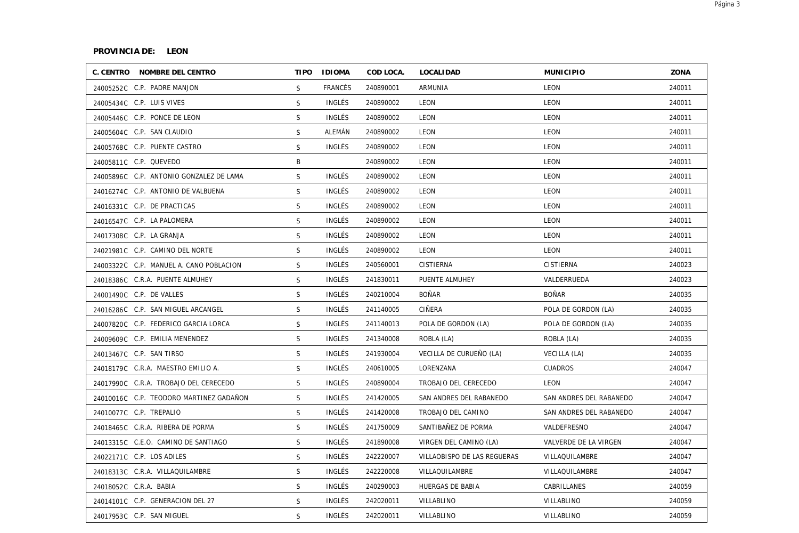### **PROVINCIA DE: LEON**

| C. CENTRO NOMBRE DEL CENTRO             |              | TIPO IDIOMA    | COD LOCA. | <b>LOCALIDAD</b>            | <b>MUNICIPIO</b>        | ZONA   |
|-----------------------------------------|--------------|----------------|-----------|-----------------------------|-------------------------|--------|
| 24005252C C.P. PADRE MANJON             | S.           | <b>FRANCÉS</b> | 240890001 | <b>ARMUNIA</b>              | <b>LEON</b>             | 240011 |
| 24005434C C.P. LUIS VIVES               | S            | INGLÉS         | 240890002 | LEON                        | <b>LEON</b>             | 240011 |
| 24005446C C.P. PONCE DE LEON            | S            | INGLÉS         | 240890002 | LEON                        | <b>LEON</b>             | 240011 |
| 24005604C C.P. SAN CLAUDIO              | S            | ALEMÁN         | 240890002 | LEON                        | <b>LEON</b>             | 240011 |
| 24005768C C.P. PUENTE CASTRO            | S            | INGLÉS         | 240890002 | LEON                        | <b>LEON</b>             | 240011 |
| 24005811C C.P. QUEVEDO                  | B            |                | 240890002 | LEON                        | LEON                    | 240011 |
| 24005896C C.P. ANTONIO GONZALEZ DE LAMA | S            | INGLÉS         | 240890002 | LEON                        | LEON                    | 240011 |
| 24016274C C.P. ANTONIO DE VALBUENA      | S            | INGLÉS         | 240890002 | LEON                        | LEON                    | 240011 |
| 24016331C C.P. DE PRACTICAS             | S            | INGLÉS         | 240890002 | LEON                        | LEON                    | 240011 |
| 24016547C C.P. LA PALOMERA              | S            | INGLÉS         | 240890002 | LEON                        | LEON                    | 240011 |
| 24017308C C.P. LA GRANJA                | S.           | INGLÉS         | 240890002 | LEON                        | LEON                    | 240011 |
| 24021981C C.P. CAMINO DEL NORTE         | S            | INGLÉS         | 240890002 | LEON                        | LEON                    | 240011 |
| 24003322C C.P. MANUEL A. CANO POBLACION | S            | INGLÉS         | 240560001 | <b>CISTIERNA</b>            | <b>CISTIERNA</b>        | 240023 |
| 24018386C C.R.A. PUENTE ALMUHEY         | $\mathsf{S}$ | INGLÉS         | 241830011 | PUENTE ALMUHEY              | VALDERRUEDA             | 240023 |
| 24001490C C.P. DE VALLES                | S            | INGLÉS         | 240210004 | <b>BOÑAR</b>                | <b>BOÑAR</b>            | 240035 |
| 24016286C C.P. SAN MIGUEL ARCANGEL      | S            | INGLÉS         | 241140005 | CIÑERA                      | POLA DE GORDON (LA)     | 240035 |
| 24007820C C.P. FEDERICO GARCIA LORCA    | $\mathsf{S}$ | <b>INGLÉS</b>  | 241140013 | POLA DE GORDON (LA)         | POLA DE GORDON (LA)     | 240035 |
| 24009609C C.P. EMILIA MENENDEZ          | S            | INGLÉS         | 241340008 | ROBLA (LA)                  | ROBLA (LA)              | 240035 |
| 24013467C C.P. SAN TIRSO                | S            | INGLÉS         | 241930004 | VECILLA DE CURUEÑO (LA)     | VECILLA (LA)            | 240035 |
| 24018179C C.R.A. MAESTRO EMILIO A.      | S            | INGLÉS         | 240610005 | LORENZANA                   | <b>CUADROS</b>          | 240047 |
| 24017990C C.R.A. TROBAJO DEL CERECEDO   | S            | INGLÉS         | 240890004 | TROBAJO DEL CERECEDO        | LEON                    | 240047 |
| 24010016C C.P. TEODORO MARTINEZ GADAÑON | S            | INGLÉS         | 241420005 | SAN ANDRES DEL RABANEDO     | SAN ANDRES DEL RABANEDO | 240047 |
| 24010077C C.P. TREPALIO                 | S            | INGLÉS         | 241420008 | TROBAJO DEL CAMINO          | SAN ANDRES DEL RABANEDO | 240047 |
| 24018465C C.R.A. RIBERA DE PORMA        | S            | INGLÉS         | 241750009 | SANTIBAÑEZ DE PORMA         | VALDEFRESNO             | 240047 |
| 24013315C C.E.O. CAMINO DE SANTIAGO     | S            | INGLÉS         | 241890008 | VIRGEN DEL CAMINO (LA)      | VALVERDE DE LA VIRGEN   | 240047 |
| 24022171C C.P. LOS ADILES               | S            | INGLÉS         | 242220007 | VILLAOBISPO DE LAS REGUERAS | VILLAQUILAMBRE          | 240047 |
| 24018313C C.R.A. VILLAQUILAMBRE         | S            | INGLÉS         | 242220008 | VILLAQUILAMBRE              | VILLAQUILAMBRE          | 240047 |
| 24018052C C.R.A. BABIA                  | S            | INGLÉS         | 240290003 | HUERGAS DE BABIA            | CABRILLANES             | 240059 |
| 24014101C C.P. GENERACION DEL 27        | $\mathsf{S}$ | <b>INGLÉS</b>  | 242020011 | VILLABLINO                  | VILLABLINO              | 240059 |
| 24017953C C.P. SAN MIGUEL               | S            | INGLÉS         | 242020011 | VILLABLINO                  | VILLABLINO              | 240059 |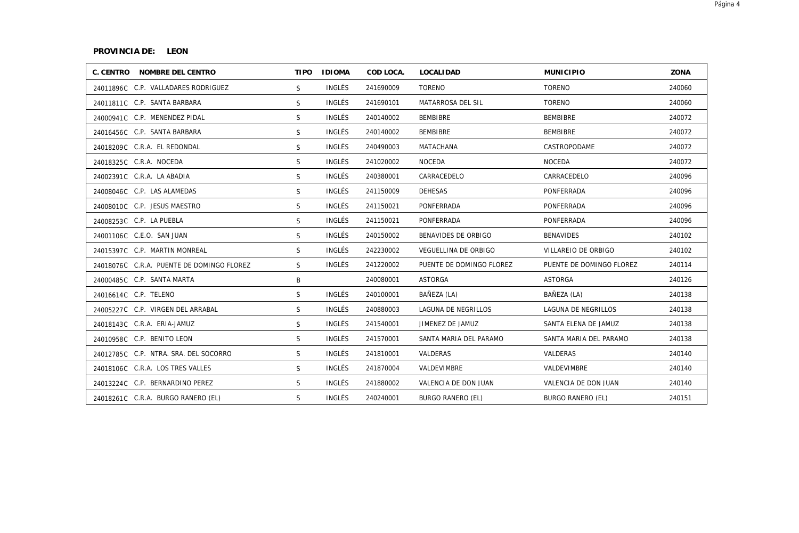#### **PROVINCIA DE: LEON**

| C. CENTRO NOMBRE DEL CENTRO               | <b>TIPO</b>  | <b>IDIOMA</b> | COD LOCA. | <b>LOCALIDAD</b>         | <b>MUNICIPIO</b>         | ZONA   |
|-------------------------------------------|--------------|---------------|-----------|--------------------------|--------------------------|--------|
| 24011896C C.P. VALLADARES RODRIGUEZ       | S.           | INGLÉS        | 241690009 | <b>TORENO</b>            | <b>TORENO</b>            | 240060 |
| 24011811C C.P. SANTA BARBARA              | S.           | INGLÉS        | 241690101 | MATARROSA DEL SIL        | <b>TORENO</b>            | 240060 |
| 24000941C C.P. MENENDEZ PIDAL             | S.           | INGLÉS        | 240140002 | <b>BEMBIBRE</b>          | <b>BEMBIBRE</b>          | 240072 |
| 24016456C C.P. SANTA BARBARA              | S.           | INGLÉS        | 240140002 | <b>BEMBIBRE</b>          | <b>BEMBIBRE</b>          | 240072 |
| 24018209C C.R.A. EL REDONDAL              | S.           | INGLÉS        | 240490003 | MATACHANA                | CASTROPODAME             | 240072 |
| 24018325C C.R.A. NOCEDA                   | S.           | INGLÉS        | 241020002 | <b>NOCEDA</b>            | <b>NOCEDA</b>            | 240072 |
| 24002391C C.R.A. LA ABADIA                | <sub>S</sub> | INGLÉS        | 240380001 | CARRACEDELO              | CARRACEDELO              | 240096 |
| 24008046C C.P. LAS ALAMEDAS               | S            | INGLÉS        | 241150009 | <b>DEHESAS</b>           | PONFERRADA               | 240096 |
| 24008010C C.P. JESUS MAESTRO              | S.           | INGLÉS        | 241150021 | PONFERRADA               | PONFERRADA               | 240096 |
| 24008253C C.P. LA PUEBLA                  | S            | INGLÉS        | 241150021 | PONFERRADA               | PONFERRADA               | 240096 |
| 24001106C C.E.O. SAN JUAN                 | S.           | INGLÉS        | 240150002 | BENAVIDES DE ORBIGO      | <b>BENAVIDES</b>         | 240102 |
| 24015397C C.P. MARTIN MONREAL             | S            | INGLÉS        | 242230002 | VEGUELLINA DE ORBIGO     | VILLAREJO DE ORBIGO      | 240102 |
| 24018076C C.R.A. PUENTE DE DOMINGO FLOREZ | S.           | INGLÉS        | 241220002 | PUENTE DE DOMINGO FLOREZ | PUENTE DE DOMINGO FLOREZ | 240114 |
| 24000485C C.P. SANTA MARTA                | B            |               | 240080001 | ASTORGA                  | ASTORGA                  | 240126 |
| 24016614C C.P. TELENO                     | S            | INGLÉS        | 240100001 | BAÑEZA (LA)              | BAÑEZA (LA)              | 240138 |
| 24005227C C.P. VIRGEN DEL ARRABAL         | S            | INGLÉS        | 240880003 | LAGUNA DE NEGRILLOS      | LAGUNA DE NEGRILLOS      | 240138 |
| 24018143C C.R.A. ERIA-JAMUZ               | S            | INGLÉS        | 241540001 | JIMENEZ DE JAMUZ         | SANTA ELENA DE JAMUZ     | 240138 |
| 24010958C C.P. BENITO LEON                | S            | INGLÉS        | 241570001 | SANTA MARIA DEL PARAMO   | SANTA MARIA DEL PARAMO   | 240138 |
| 24012785C C.P. NTRA. SRA. DEL SOCORRO     | S            | INGLÉS        | 241810001 | VALDERAS                 | VALDERAS                 | 240140 |
| 24018106C C.R.A. LOS TRES VALLES          | S            | INGLÉS        | 241870004 | VALDEVIMBRE              | VALDEVIMBRE              | 240140 |
| 24013224C C.P. BERNARDINO PEREZ           | S.           | INGLÉS        | 241880002 | VALENCIA DE DON JUAN     | VALENCIA DE DON JUAN     | 240140 |
| 24018261C C.R.A. BURGO RANERO (EL)        | S            | INGLÉS        | 240240001 | <b>BURGO RANERO (EL)</b> | <b>BURGO RANERO (EL)</b> | 240151 |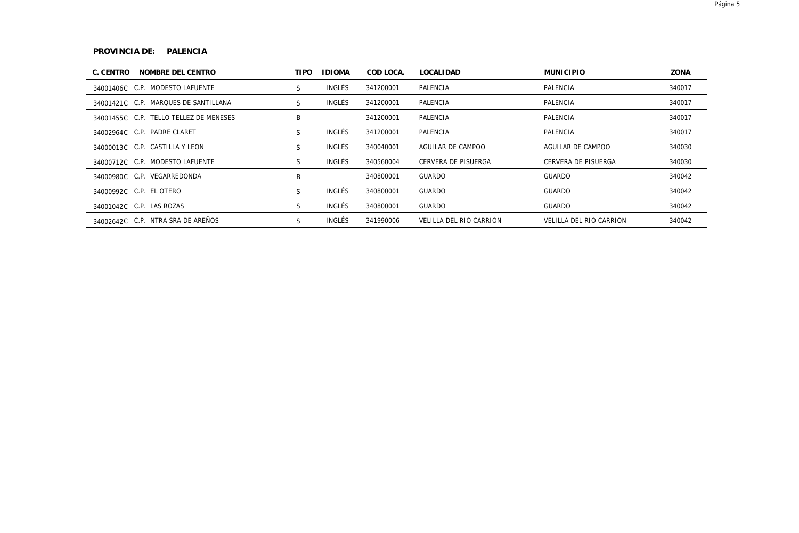# **PROVINCIA DE: PALENCIA**

| C. CENTRO<br>NOMBRE DEL CENTRO         | <b>TIPO</b> | <b>IDIOMA</b> | COD LOCA. | <b>LOCALIDAD</b>        | <b>MUNICIPIO</b>        | ZONA   |
|----------------------------------------|-------------|---------------|-----------|-------------------------|-------------------------|--------|
| 34001406C C.P. MODESTO LAFUENTE        | S           | INGLÉS        | 341200001 | PALENCIA                | PALENCIA                | 340017 |
| 34001421C C.P. MARQUES DE SANTILLANA   | S           | INGLÉS        | 341200001 | PALENCIA                | PALENCIA                | 340017 |
| 34001455C C.P. TELLO TELLEZ DE MENESES | B           |               | 341200001 | PALENCIA                | PALENCIA                | 340017 |
| 34002964C C.P. PADRE CLARET            | S           | INGLÉS        | 341200001 | PALENCIA                | PALENCIA                | 340017 |
| 34000013C C.P. CASTILLA Y LEON         | S           | INGLÉS        | 340040001 | AGUILAR DE CAMPOO       | AGUILAR DE CAMPOO       | 340030 |
| 34000712C C.P. MODESTO LAFUENTE        | S           | INGLÉS        | 340560004 | CERVERA DE PISUERGA     | CERVERA DE PISUERGA     | 340030 |
| 34000980C C.P. VEGARREDONDA            | B           |               | 340800001 | GUARDO                  | GUARDO                  | 340042 |
| 34000992C C.P. EL OTERO                | S           | INGLÉS        | 340800001 | <b>GUARDO</b>           | GUARDO                  | 340042 |
| 34001042C C.P. LAS ROZAS               | S           | INGLÉS        | 340800001 | <b>GUARDO</b>           | GUARDO                  | 340042 |
| 34002642C C.P. NTRA SRA DE AREÑOS      | S           | INGLÉS        | 341990006 | VELILLA DEL RIO CARRION | VELILLA DEL RIO CARRION | 340042 |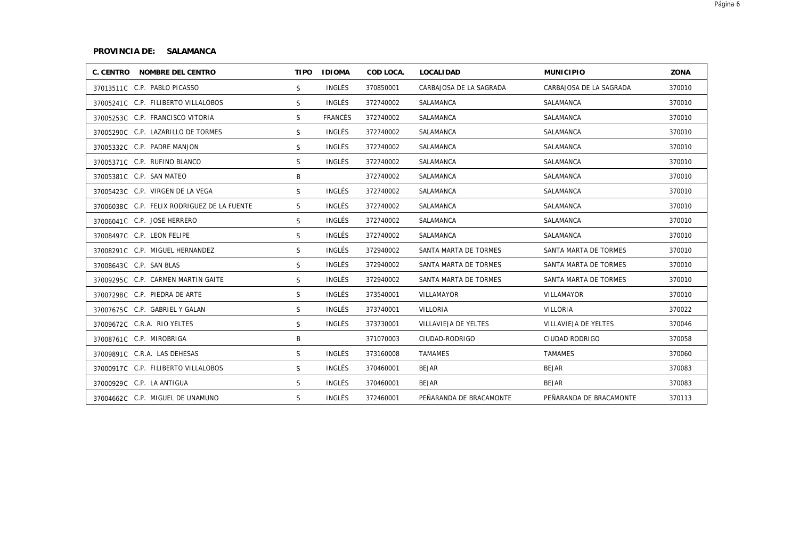# **PROVINCIA DE: SALAMANCA**

| C. CENTRO NOMBRE DEL CENTRO                 | <b>TIPO</b> | <b>IDIOMA</b>  | COD LOCA. | LOCALI DAD              | <b>MUNICIPIO</b>        | ZONA   |
|---------------------------------------------|-------------|----------------|-----------|-------------------------|-------------------------|--------|
| 37013511C C.P. PABLO PICASSO                | S.          | INGLÉS         | 370850001 | CARBAJOSA DE LA SAGRADA | CARBAJOSA DE LA SAGRADA | 370010 |
| 37005241C C.P. FILIBERTO VILLALOBOS         | S.          | <b>INGLÉS</b>  | 372740002 | SALAMANCA               | SALAMANCA               | 370010 |
| 37005253C C.P. FRANCISCO VITORIA            | S.          | <b>FRANCÉS</b> | 372740002 | SALAMANCA               | SALAMANCA               | 370010 |
| 37005290C C.P. LAZARILLO DE TORMES          | S           | <b>INGLÉS</b>  | 372740002 | SALAMANCA               | SALAMANCA               | 370010 |
| 37005332C C.P. PADRE MANJON                 | S           | INGLÉS         | 372740002 | SALAMANCA               | SALAMANCA               | 370010 |
| 37005371C C.P. RUFINO BLANCO                | S.          | <b>INGLÉS</b>  | 372740002 | SALAMANCA               | SALAMANCA               | 370010 |
| 37005381C C.P. SAN MATEO                    | B           |                | 372740002 | SALAMANCA               | SALAMANCA               | 370010 |
| 37005423C C.P. VIRGEN DE LA VEGA            | S           | <b>INGLÉS</b>  | 372740002 | SALAMANCA               | SALAMANCA               | 370010 |
| 37006038C C.P. FELIX RODRIGUEZ DE LA FUENTE | S.          | <b>INGLÉS</b>  | 372740002 | SALAMANCA               | SALAMANCA               | 370010 |
| 37006041C C.P. JOSE HERRERO                 | S.          | <b>INGLÉS</b>  | 372740002 | SALAMANCA               | SALAMANCA               | 370010 |
| 37008497C C.P. LEON FELIPE                  | S.          | <b>INGLÉS</b>  | 372740002 | SALAMANCA               | SALAMANCA               | 370010 |
| 37008291C C.P. MIGUEL HERNANDEZ             | S           | INGLÉS         | 372940002 | SANTA MARTA DE TORMES   | SANTA MARTA DE TORMES   | 370010 |
| 37008643C C.P. SAN BLAS                     | S.          | <b>INGLÉS</b>  | 372940002 | SANTA MARTA DE TORMES   | SANTA MARTA DE TORMES   | 370010 |
| 37009295C C.P. CARMEN MARTIN GAITE          | S.          | INGLÉS         | 372940002 | SANTA MARTA DE TORMES   | SANTA MARTA DE TORMES   | 370010 |
| 37007298C C.P. PIEDRA DE ARTE               | S           | INGLÉS         | 373540001 | VILLAMAYOR              | VILLAMAYOR              | 370010 |
| 37007675C C.P. GABRIEL Y GALAN              | S           | INGLÉS         | 373740001 | VILLORIA                | VILLORIA                | 370022 |
| 37009672C C.R.A. RIO YELTES                 | S.          | INGLÉS         | 373730001 | VILLAVIEJA DE YELTES    | VILLAVIEJA DE YELTES    | 370046 |
| 37008761C C.P. MIROBRIGA                    | B           |                | 371070003 | CIUDAD-RODRIGO          | CIUDAD RODRIGO          | 370058 |
| 37009891C C.R.A. LAS DEHESAS                | S           | INGLÉS         | 373160008 | <b>TAMAMES</b>          | <b>TAMAMES</b>          | 370060 |
| 37000917C C.P. FILIBERTO VILLALOBOS         | S           | INGLÉS         | 370460001 | <b>BEJAR</b>            | <b>BEJAR</b>            | 370083 |
| 37000929C C.P. LA ANTIGUA                   | S.          | INGLÉS         | 370460001 | <b>BEJAR</b>            | BEJAR                   | 370083 |
| 37004662C C.P. MIGUEL DE UNAMUNO            | S           | INGLÉS         | 372460001 | PEÑARANDA DE BRACAMONTE | PEÑARANDA DE BRACAMONTE | 370113 |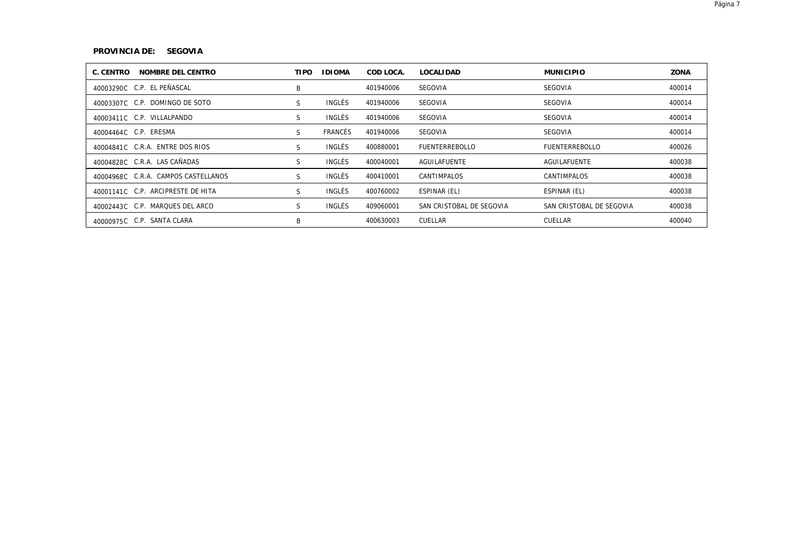# **PROVINCIA DE: SEGOVIA**

| C. CENTRO<br>NOMBRE DEL CENTRO      | <b>TIPO</b> | <b>IDIOMA</b> | COD LOCA. | <b>LOCALIDAD</b>         | <b>MUNICIPIO</b>         | ZONA   |
|-------------------------------------|-------------|---------------|-----------|--------------------------|--------------------------|--------|
| 40003290C C.P. EL PEÑASCAL          | B           |               | 401940006 | SEGOVIA                  | SEGOVIA                  | 400014 |
| 40003307C C.P. DOMINGO DE SOTO      | S           | INGLÉS        | 401940006 | SEGOVIA                  | SEGOVIA                  | 400014 |
| 40003411C C.P. VILLALPANDO          | S           | INGLÉS        | 401940006 | SEGOVIA                  | SEGOVIA                  | 400014 |
| 40004464C C.P. ERESMA               | S           | FRANCÉS       | 401940006 | SEGOVIA                  | SEGOVIA                  | 400014 |
| 40004841C C.R.A. ENTRE DOS RIOS     | S           | INGLÉS        | 400880001 | <b>FUENTERREBOLLO</b>    | <b>FUENTERREBOLLO</b>    | 400026 |
| 40004828C C.R.A. LAS CAÑADAS        | S           | INGLÉS        | 400040001 | AGUILAFUENTE             | <b>AGUILAFUENTE</b>      | 400038 |
| 40004968C C.R.A. CAMPOS CASTELLANOS | S           | INGLÉS        | 400410001 | CANTIMPALOS              | CANTIMPALOS              | 400038 |
| 40001141C C.P. ARCIPRESTE DE HITA   | S           | INGLÉS        | 400760002 | ESPINAR (EL)             | ESPINAR (EL)             | 400038 |
| 40002443C C.P. MARQUES DEL ARCO     | S           | INGLÉS        | 409060001 | SAN CRISTOBAL DE SEGOVIA | SAN CRISTOBAL DE SEGOVIA | 400038 |
| 40000975C C.P. SANTA CLARA          | B           |               | 400630003 | CUELLAR                  | CUELLAR                  | 400040 |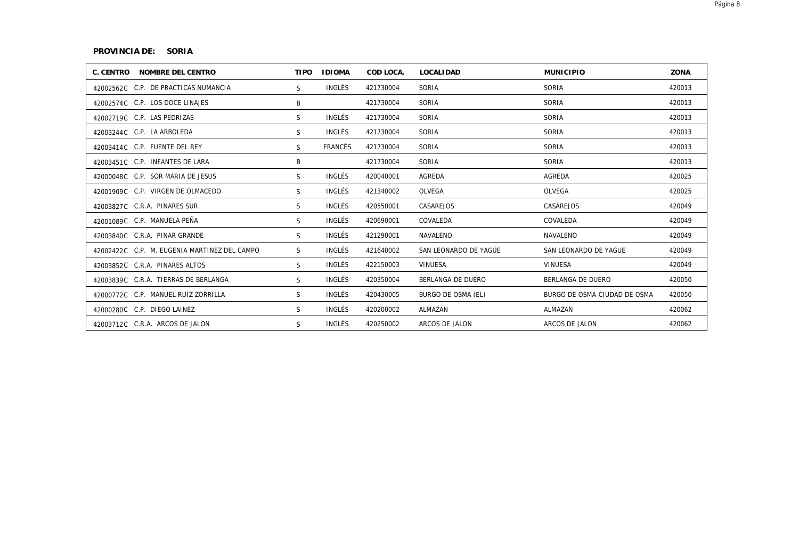#### **PROVINCIA DE: SORIA**

| C. CENTRO NOMBRE DEL CENTRO                  | <b>TIPO</b>  | <b>IDIOMA</b> | COD LOCA. | <b>LOCALIDAD</b>      | <b>MUNICIPIO</b>             | ZONA   |
|----------------------------------------------|--------------|---------------|-----------|-----------------------|------------------------------|--------|
| 42002562C C.P. DE PRACTICAS NUMANCIA         | S.           | INGLÉS        | 421730004 | SORIA                 | SORIA                        | 420013 |
| 42002574C C.P. LOS DOCE LINAJES              | B            |               | 421730004 | SORIA                 | SORIA                        | 420013 |
| 42002719C C.P. LAS PEDRIZAS                  | S.           | INGLÉS        | 421730004 | SORIA                 | SORIA                        | 420013 |
| 42003244C C.P. LA ARBOLEDA                   | S            | INGLÉS        | 421730004 | SORIA                 | SORIA                        | 420013 |
| 42003414C C.P. FUENTE DEL REY                | S            | FRANCÉS       | 421730004 | SORIA                 | SORIA                        | 420013 |
| 42003451C C.P. INFANTES DE LARA              | B            |               | 421730004 | SORIA                 | SORIA                        | 420013 |
| 42000048C C.P. SOR MARIA DE JESUS            | S            | INGLÉS        | 420040001 | AGREDA                | AGREDA                       | 420025 |
| 42001909C C.P. VIRGEN DE OLMACEDO            | S            | INGLÉS        | 421340002 | OLVEGA                | OLVEGA                       | 420025 |
| 42003827C C.R.A. PINARES SUR                 | S            | INGLÉS        | 420550001 | CASAREJOS             | CASAREJOS                    | 420049 |
| 42001089C C.P. MANUELA PEÑA                  | S            | INGLÉS        | 420690001 | COVALEDA              | COVALEDA                     | 420049 |
| 42003840C C.R.A. PINAR GRANDE                | S            | INGLÉS        | 421290001 | NAVALENO              | NAVALENO                     | 420049 |
| 42002422C C.P. M. EUGENIA MARTINEZ DEL CAMPO | S.           | INGLÉS        | 421640002 | SAN LEONARDO DE YAGÜE | SAN LEONARDO DE YAGUE        | 420049 |
| 42003852C C.R.A. PINARES ALTOS               | S.           | INGLÉS        | 422150003 | VINUESA               | <b>VINUESA</b>               | 420049 |
| 42003839C C.R.A. TIERRAS DE BERLANGA         | S            | INGLÉS        | 420350004 | BERLANGA DE DUERO     | BERLANGA DE DUERO            | 420050 |
| 42000772C C.P. MANUEL RUIZ ZORRILLA          | <sub>S</sub> | INGLÉS        | 420430005 | BURGO DE OSMA (EL)    | BURGO DE OSMA-CIUDAD DE OSMA | 420050 |
| 42000280C C.P. DIEGO LAINEZ                  | S            | INGLÉS        | 420200002 | ALMAZAN               | ALMAZAN                      | 420062 |
| 42003712C C.R.A. ARCOS DE JALON              | S            | INGLÉS        | 420250002 | ARCOS DE JALON        | ARCOS DE JALON               | 420062 |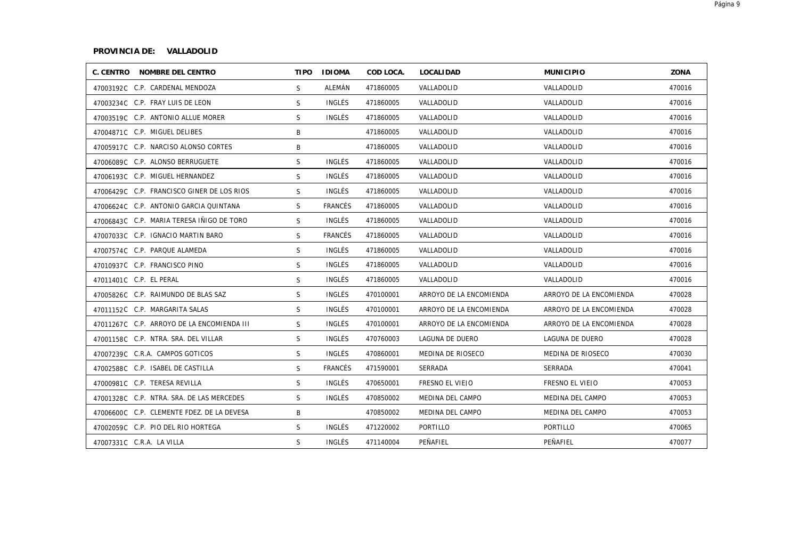# **PROVINCIA DE: VALLADOLID**

| C. CENTRO NOMBRE DEL CENTRO                |    | TIPO IDIOMA   | COD LOCA. | LOCALI DAD              | <b>MUNICIPIO</b>        | ZONA   |
|--------------------------------------------|----|---------------|-----------|-------------------------|-------------------------|--------|
| 47003192C C.P. CARDENAL MENDOZA            | S. | ALEMÁN        | 471860005 | VALLADOLID              | VALLADOLID              | 470016 |
| 47003234C C.P. FRAY LUIS DE LEON           | S. | <b>INGLÉS</b> | 471860005 | VALLADOLID              | VALLADOLID              | 470016 |
| 47003519C C.P. ANTONIO ALLUE MORER         | S. | INGLÉS        | 471860005 | VALLADOLID              | VALLADOLID              | 470016 |
| 47004871C C.P. MIGUEL DELIBES              | B  |               | 471860005 | VALLADOLID              | VALLADOLID              | 470016 |
| 47005917C C.P. NARCISO ALONSO CORTES       | B  |               | 471860005 | VALLADOLID              | VALLADOLID              | 470016 |
| 47006089C C.P. ALONSO BERRUGUETE           | S  | INGLÉS        | 471860005 | VALLADOLID              | VALLADOLID              | 470016 |
| 47006193C C.P. MIGUEL HERNANDEZ            | S  | INGLÉS        | 471860005 | VALLADOLID              | VALLADOLID              | 470016 |
| 47006429C C.P. FRANCISCO GINER DE LOS RIOS | S. | INGLÉS        | 471860005 | VALLADOLID              | VALLADOLID              | 470016 |
| 47006624C C.P. ANTONIO GARCIA QUINTANA     | S. | FRANCÉS       | 471860005 | VALLADOLID              | VALLADOLID              | 470016 |
| 47006843C C.P. MARIA TERESA IÑIGO DE TORO  | S. | <b>INGLÉS</b> | 471860005 | VALLADOLID              | VALLADOLID              | 470016 |
| 47007033C C.P. IGNACIO MARTIN BARO         | S  | FRANCÉS       | 471860005 | VALLADOLID              | VALLADOLID              | 470016 |
| 47007574C C.P. PARQUE ALAMEDA              | S  | INGLÉS        | 471860005 | VALLADOLID              | VALLADOLID              | 470016 |
| 47010937C C.P. FRANCISCO PINO              | S  | INGLÉS        | 471860005 | VALLADOLID              | VALLADOLID              | 470016 |
| 47011401 C.P. EL PERAL                     | S  | INGLÉS        | 471860005 | VALLADOLID              | VALLADOLID              | 470016 |
| 47005826C C.P. RAIMUNDO DE BLAS SAZ        | S  | INGLÉS        | 470100001 | ARROYO DE LA ENCOMIENDA | ARROYO DE LA ENCOMIENDA | 470028 |
| 47011152C C.P. MARGARITA SALAS             | S. | INGLÉS        | 470100001 | ARROYO DE LA ENCOMIENDA | ARROYO DE LA ENCOMIENDA | 470028 |
| 47011267C C.P. ARROYO DE LA ENCOMIENDA III | S. | INGLÉS        | 470100001 | ARROYO DE LA ENCOMIENDA | ARROYO DE LA ENCOMIENDA | 470028 |
| 47001158C C.P. NTRA. SRA. DEL VILLAR       | S  | INGLÉS        | 470760003 | LAGUNA DE DUERO         | LAGUNA DE DUERO         | 470028 |
| 47007239C C.R.A. CAMPOS GOTICOS            | S  | INGLÉS        | 470860001 | MEDINA DE RIOSECO       | MEDINA DE RIOSECO       | 470030 |
| 47002588C C.P. ISABEL DE CASTILLA          | S  | FRANCÉS       | 471590001 | SERRADA                 | SERRADA                 | 470041 |
| 47000981C C.P. TERESA REVILLA              | S  | INGLÉS        | 470650001 | FRESNO EL VIEJO         | FRESNO EL VIEJO         | 470053 |
| 47001328C C.P. NTRA. SRA. DE LAS MERCEDES  | S  | INGLÉS        | 470850002 | MEDINA DEL CAMPO        | MEDINA DEL CAMPO        | 470053 |
| 47006600C C.P. CLEMENTE FDEZ. DE LA DEVESA | B  |               | 470850002 | MEDINA DEL CAMPO        | MEDINA DEL CAMPO        | 470053 |
| 47002059C C.P. PIO DEL RIO HORTEGA         | S  | INGLÉS        | 471220002 | PORTILLO                | PORTILLO                | 470065 |
| 47007331C C.R.A. LA VILLA                  | S  | INGLÉS        | 471140004 | PEÑAFIEL                | PEÑAFIEL                | 470077 |